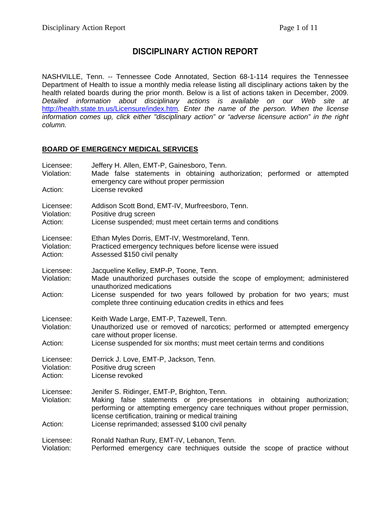# **DISCIPLINARY ACTION REPORT**

NASHVILLE, Tenn. -- Tennessee Code Annotated, Section 68-1-114 requires the Tennessee Department of Health to issue a monthly media release listing all disciplinary actions taken by the health related boards during the prior month. Below is a list of actions taken in December, 2009. *Detailed information about disciplinary actions is available on our Web site at*  <http://health.state.tn.us/Licensure/index.htm>*. Enter the name of the person. When the license information comes up, click either "disciplinary action" or "adverse licensure action" in the right column.* 

### **BOARD OF EMERGENCY MEDICAL SERVICES**

| Licensee:<br>Violation:<br>Action: | Jeffery H. Allen, EMT-P, Gainesboro, Tenn.<br>Made false statements in obtaining authorization; performed or attempted<br>emergency care without proper permission<br>License revoked                                                                           |  |
|------------------------------------|-----------------------------------------------------------------------------------------------------------------------------------------------------------------------------------------------------------------------------------------------------------------|--|
| Licensee:<br>Violation:<br>Action: | Addison Scott Bond, EMT-IV, Murfreesboro, Tenn.<br>Positive drug screen<br>License suspended; must meet certain terms and conditions                                                                                                                            |  |
| Licensee:<br>Violation:<br>Action: | Ethan Myles Dorris, EMT-IV, Westmoreland, Tenn.<br>Practiced emergency techniques before license were issued<br>Assessed \$150 civil penalty                                                                                                                    |  |
| Licensee:<br>Violation:            | Jacqueline Kelley, EMP-P, Toone, Tenn.<br>Made unauthorized purchases outside the scope of employment; administered<br>unauthorized medications                                                                                                                 |  |
| Action:                            | License suspended for two years followed by probation for two years; must<br>complete three continuing education credits in ethics and fees                                                                                                                     |  |
| Licensee:<br>Violation:            | Keith Wade Large, EMT-P, Tazewell, Tenn.<br>Unauthorized use or removed of narcotics; performed or attempted emergency<br>care without proper license.                                                                                                          |  |
| Action:                            | License suspended for six months; must meet certain terms and conditions                                                                                                                                                                                        |  |
| Licensee:<br>Violation:<br>Action: | Derrick J. Love, EMT-P, Jackson, Tenn.<br>Positive drug screen<br>License revoked                                                                                                                                                                               |  |
| Licensee:<br>Violation:            | Jenifer S. Ridinger, EMT-P, Brighton, Tenn.<br>Making false statements or pre-presentations in obtaining authorization;<br>performing or attempting emergency care techniques without proper permission,<br>license certification, training or medical training |  |
| Action:                            | License reprimanded; assessed \$100 civil penalty                                                                                                                                                                                                               |  |
| Licensee:<br>Violation:            | Ronald Nathan Rury, EMT-IV, Lebanon, Tenn.<br>Performed emergency care techniques outside the scope of practice without                                                                                                                                         |  |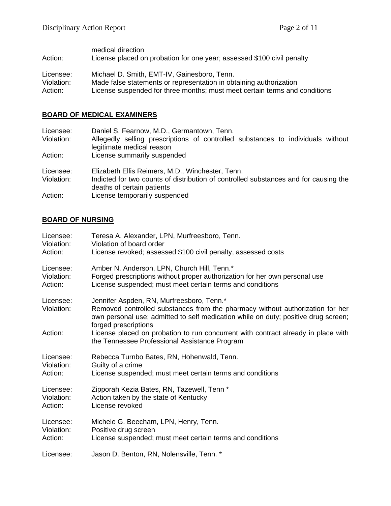| Action:    | medical direction<br>License placed on probation for one year; assessed \$100 civil penalty |
|------------|---------------------------------------------------------------------------------------------|
| Licensee:  | Michael D. Smith, EMT-IV, Gainesboro, Tenn.                                                 |
| Violation: | Made false statements or representation in obtaining authorization                          |
| Action:    | License suspended for three months; must meet certain terms and conditions                  |

## **BOARD OF MEDICAL EXAMINERS**

| Licensee:<br>Violation:<br>Action: | Daniel S. Fearnow, M.D., Germantown, Tenn.<br>Allegedly selling prescriptions of controlled substances to individuals without<br>legitimate medical reason<br>License summarily suspended               |
|------------------------------------|---------------------------------------------------------------------------------------------------------------------------------------------------------------------------------------------------------|
| Licensee:<br>Violation:<br>Action: | Elizabeth Ellis Reimers, M.D., Winchester, Tenn.<br>Indicted for two counts of distribution of controlled substances and for causing the<br>deaths of certain patients<br>License temporarily suspended |

# **BOARD OF NURSING**

| Licensee:               | Teresa A. Alexander, LPN, Murfreesboro, Tenn.                                                                                                                                                                                            |
|-------------------------|------------------------------------------------------------------------------------------------------------------------------------------------------------------------------------------------------------------------------------------|
| Violation:              | Violation of board order                                                                                                                                                                                                                 |
| Action:                 | License revoked; assessed \$100 civil penalty, assessed costs                                                                                                                                                                            |
| Licensee:               | Amber N. Anderson, LPN, Church Hill, Tenn.*                                                                                                                                                                                              |
| Violation:              | Forged prescriptions without proper authorization for her own personal use                                                                                                                                                               |
| Action:                 | License suspended; must meet certain terms and conditions                                                                                                                                                                                |
| Licensee:<br>Violation: | Jennifer Aspden, RN, Murfreesboro, Tenn.*<br>Removed controlled substances from the pharmacy without authorization for her<br>own personal use; admitted to self medication while on duty; positive drug screen;<br>forged prescriptions |
| Action:                 | License placed on probation to run concurrent with contract already in place with<br>the Tennessee Professional Assistance Program                                                                                                       |
| Licensee:               | Rebecca Turnbo Bates, RN, Hohenwald, Tenn.                                                                                                                                                                                               |
| Violation:              | Guilty of a crime                                                                                                                                                                                                                        |
| Action:                 | License suspended; must meet certain terms and conditions                                                                                                                                                                                |
| Licensee:               | Zipporah Kezia Bates, RN, Tazewell, Tenn *                                                                                                                                                                                               |
| Violation:              | Action taken by the state of Kentucky                                                                                                                                                                                                    |
| Action:                 | License revoked                                                                                                                                                                                                                          |
| Licensee:               | Michele G. Beecham, LPN, Henry, Tenn.                                                                                                                                                                                                    |
| Violation:              | Positive drug screen                                                                                                                                                                                                                     |
| Action:                 | License suspended; must meet certain terms and conditions                                                                                                                                                                                |
| Licensee:               | Jason D. Benton, RN, Nolensville, Tenn. *                                                                                                                                                                                                |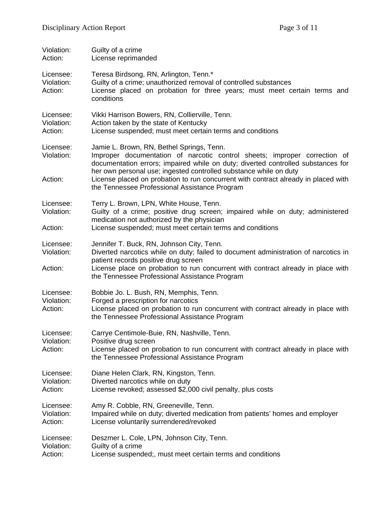| Violation:<br>Action:              | Guilty of a crime<br>License reprimanded                                                                                                                                                                                                                                                                                                                              |  |
|------------------------------------|-----------------------------------------------------------------------------------------------------------------------------------------------------------------------------------------------------------------------------------------------------------------------------------------------------------------------------------------------------------------------|--|
| Licensee:<br>Violation:<br>Action: | Teresa Birdsong, RN, Arlington, Tenn.*<br>Guilty of a crime; unauthorized removal of controlled substances<br>License placed on probation for three years; must meet certain terms and<br>conditions                                                                                                                                                                  |  |
| Licensee:<br>Violation:<br>Action: | Vikki Harrison Bowers, RN, Collierville, Tenn.<br>Action taken by the state of Kentucky<br>License suspended; must meet certain terms and conditions                                                                                                                                                                                                                  |  |
| Licensee:<br>Violation:<br>Action: | Jamie L. Brown, RN, Bethel Springs, Tenn.<br>Improper documentation of narcotic control sheets; improper correction of<br>documentation errors; impaired while on duty; diverted controlled substances for<br>her own personal use; ingested controlled substance while on duty<br>License placed on probation to run concurrent with contract already in placed with |  |
|                                    | the Tennessee Professional Assistance Program                                                                                                                                                                                                                                                                                                                         |  |
| Licensee:<br>Violation:            | Terry L. Brown, LPN, White House, Tenn.<br>Guilty of a crime; positive drug screen; impaired while on duty; administered<br>medication not authorized by the physician                                                                                                                                                                                                |  |
| Action:                            | License suspended; must meet certain terms and conditions                                                                                                                                                                                                                                                                                                             |  |
| Licensee:<br>Violation:<br>Action: | Jennifer T. Buck, RN, Johnson City, Tenn.<br>Diverted narcotics while on duty; failed to document administration of narcotics in<br>patient records positive drug screen<br>License place on probation to run concurrent with contract already in place with<br>the Tennessee Professional Assistance Program                                                         |  |
| Licensee:<br>Violation:<br>Action: | Bobbie Jo. L. Bush, RN, Memphis, Tenn.<br>Forged a prescription for narcotics<br>License placed on probation to run concurrent with contract already in place with<br>the Tennessee Professional Assistance Program                                                                                                                                                   |  |
| Licensee:<br>Violation:<br>Action: | Carrye Centimole-Buie, RN, Nashville, Tenn.<br>Positive drug screen<br>License placed on probation to run concurrent with contract already in place with<br>the Tennessee Professional Assistance Program                                                                                                                                                             |  |
| Licensee:<br>Violation:<br>Action: | Diane Helen Clark, RN, Kingston, Tenn.<br>Diverted narcotics while on duty<br>License revoked; assessed \$2,000 civil penalty, plus costs                                                                                                                                                                                                                             |  |
| Licensee:<br>Violation:<br>Action: | Amy R. Cobble, RN, Greeneville, Tenn.<br>Impaired while on duty; diverted medication from patients' homes and employer<br>License voluntarily surrendered/revoked                                                                                                                                                                                                     |  |
| Licensee:<br>Violation:<br>Action: | Deszmer L. Cole, LPN, Johnson City, Tenn.<br>Guilty of a crime<br>License suspended;, must meet certain terms and conditions                                                                                                                                                                                                                                          |  |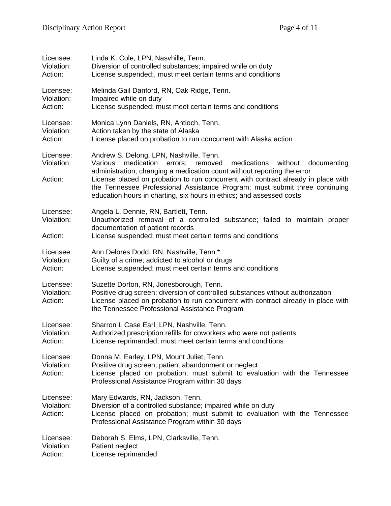| Licensee:                          | Linda K. Cole, LPN, Nasvhille, Tenn.                                                                                                                                                                                                                                                                                                                                                                                                                   |  |
|------------------------------------|--------------------------------------------------------------------------------------------------------------------------------------------------------------------------------------------------------------------------------------------------------------------------------------------------------------------------------------------------------------------------------------------------------------------------------------------------------|--|
| Violation:                         | Diversion of controlled substances; impaired while on duty                                                                                                                                                                                                                                                                                                                                                                                             |  |
| Action:                            | License suspended;, must meet certain terms and conditions                                                                                                                                                                                                                                                                                                                                                                                             |  |
| Licensee:                          | Melinda Gail Danford, RN, Oak Ridge, Tenn.                                                                                                                                                                                                                                                                                                                                                                                                             |  |
| Violation:                         | Impaired while on duty                                                                                                                                                                                                                                                                                                                                                                                                                                 |  |
| Action:                            | License suspended; must meet certain terms and conditions                                                                                                                                                                                                                                                                                                                                                                                              |  |
| Licensee:                          | Monica Lynn Daniels, RN, Antioch, Tenn.                                                                                                                                                                                                                                                                                                                                                                                                                |  |
| Violation:                         | Action taken by the state of Alaska                                                                                                                                                                                                                                                                                                                                                                                                                    |  |
| Action:                            | License placed on probation to run concurrent with Alaska action                                                                                                                                                                                                                                                                                                                                                                                       |  |
| Licensee:<br>Violation:<br>Action: | Andrew S. Delong, LPN, Nashville, Tenn.<br>medication<br>medications<br>without<br>documenting<br>Various<br>errors;<br>removed<br>administration; changing a medication count without reporting the error<br>License placed on probation to run concurrent with contract already in place with<br>the Tennessee Professional Assistance Program; must submit three continuing<br>education hours in charting, six hours in ethics; and assessed costs |  |
| Licensee:<br>Violation:<br>Action: | Angela L. Dennie, RN, Bartlett, Tenn.<br>Unauthorized removal of a controlled substance; failed to maintain proper<br>documentation of patient records<br>License suspended; must meet certain terms and conditions                                                                                                                                                                                                                                    |  |
| Licensee:                          | Ann Delores Dodd, RN, Nashville, Tenn.*                                                                                                                                                                                                                                                                                                                                                                                                                |  |
| Violation:                         | Guilty of a crime; addicted to alcohol or drugs                                                                                                                                                                                                                                                                                                                                                                                                        |  |
| Action:                            | License suspended; must meet certain terms and conditions                                                                                                                                                                                                                                                                                                                                                                                              |  |
| Licensee:<br>Violation:<br>Action: | Suzette Dorton, RN, Jonesborough, Tenn.<br>Positive drug screen; diversion of controlled substances without authorization<br>License placed on probation to run concurrent with contract already in place with<br>the Tennessee Professional Assistance Program                                                                                                                                                                                        |  |
| Licensee:                          | Sharron L Case Earl, LPN, Nashville, Tenn.                                                                                                                                                                                                                                                                                                                                                                                                             |  |
| Violation:                         | Authorized prescription refills for coworkers who were not patients                                                                                                                                                                                                                                                                                                                                                                                    |  |
| Action:                            | License reprimanded; must meet certain terms and conditions                                                                                                                                                                                                                                                                                                                                                                                            |  |
| Licensee:<br>Violation:<br>Action: | Donna M. Earley, LPN, Mount Juliet, Tenn.<br>Positive drug screen; patient abandonment or neglect<br>License placed on probation; must submit to evaluation with the Tennessee<br>Professional Assistance Program within 30 days                                                                                                                                                                                                                       |  |
| Licensee:<br>Violation:<br>Action: | Mary Edwards, RN, Jackson, Tenn.<br>Diversion of a controlled substance; impaired while on duty<br>License placed on probation; must submit to evaluation with the Tennessee<br>Professional Assistance Program within 30 days                                                                                                                                                                                                                         |  |
| Licensee:                          | Deborah S. Elms, LPN, Clarksville, Tenn.                                                                                                                                                                                                                                                                                                                                                                                                               |  |
| Violation:                         | Patient neglect                                                                                                                                                                                                                                                                                                                                                                                                                                        |  |
| Action:                            | License reprimanded                                                                                                                                                                                                                                                                                                                                                                                                                                    |  |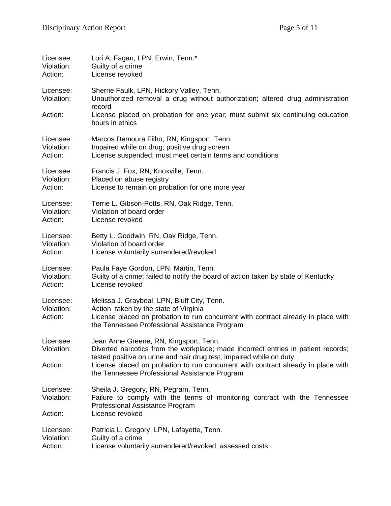| Licensee:                          | Lori A. Fagan, LPN, Erwin, Tenn.*                                                                                                                                                                                          |  |
|------------------------------------|----------------------------------------------------------------------------------------------------------------------------------------------------------------------------------------------------------------------------|--|
| Violation:                         | Guilty of a crime                                                                                                                                                                                                          |  |
| Action:                            | License revoked                                                                                                                                                                                                            |  |
| Licensee:<br>Violation:            | Sherrie Faulk, LPN, Hickory Valley, Tenn.<br>Unauthorized removal a drug without authorization; altered drug administration<br>record                                                                                      |  |
| Action:                            | License placed on probation for one year; must submit six continuing education<br>hours in ethics                                                                                                                          |  |
| Licensee:                          | Marcos Demoura Filho, RN, Kingsport, Tenn.                                                                                                                                                                                 |  |
| Violation:                         | Impaired while on drug; positive drug screen                                                                                                                                                                               |  |
| Action:                            | License suspended; must meet certain terms and conditions                                                                                                                                                                  |  |
| Licensee:                          | Francis J. Fox, RN, Knoxville, Tenn.                                                                                                                                                                                       |  |
| Violation:                         | Placed on abuse registry                                                                                                                                                                                                   |  |
| Action:                            | License to remain on probation for one more year                                                                                                                                                                           |  |
| Licensee:                          | Terrie L. Gibson-Potts, RN, Oak Ridge, Tenn.                                                                                                                                                                               |  |
| Violation:                         | Violation of board order                                                                                                                                                                                                   |  |
| Action:                            | License revoked                                                                                                                                                                                                            |  |
| Licensee:                          | Betty L. Goodwin, RN, Oak Ridge, Tenn.                                                                                                                                                                                     |  |
| Violation:                         | Violation of board order                                                                                                                                                                                                   |  |
| Action:                            | License voluntarily surrendered/revoked                                                                                                                                                                                    |  |
| Licensee:                          | Paula Faye Gordon, LPN, Martin, Tenn.                                                                                                                                                                                      |  |
| Violation:                         | Guilty of a crime; failed to notify the board of action taken by state of Kentucky                                                                                                                                         |  |
| Action:                            | License revoked                                                                                                                                                                                                            |  |
| Licensee:<br>Violation:<br>Action: | Melissa J. Graybeal, LPN, Bluff City, Tenn.<br>Action taken by the state of Virginia<br>License placed on probation to run concurrent with contract already in place with<br>the Tennessee Professional Assistance Program |  |
| Licensee:<br>Violation:            | Jean Anne Greene, RN, Kingsport, Tenn.<br>Diverted narcotics from the workplace; made incorrect entries in patient records;<br>tested positive on urine and hair drug test; impaired while on duty                         |  |
| Action:                            | License placed on probation to run concurrent with contract already in place with<br>the Tennessee Professional Assistance Program                                                                                         |  |
| Licensee:<br>Violation:<br>Action: | Sheila J. Gregory, RN, Pegram, Tenn.<br>Failure to comply with the terms of monitoring contract with the Tennessee<br>Professional Assistance Program<br>License revoked                                                   |  |
| Licensee:                          | Patricia L. Gregory, LPN, Lafayette, Tenn.                                                                                                                                                                                 |  |
| Violation:                         | Guilty of a crime                                                                                                                                                                                                          |  |
| Action:                            | License voluntarily surrendered/revoked; assessed costs                                                                                                                                                                    |  |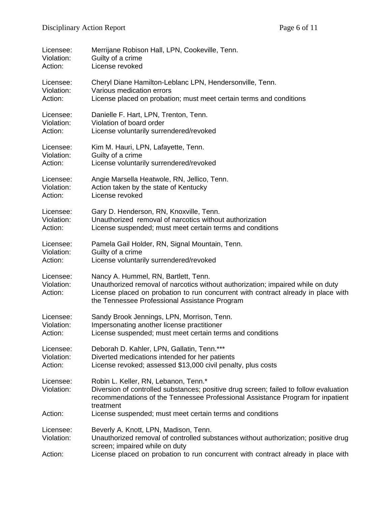| Licensee:                          | Merrijane Robison Hall, LPN, Cookeville, Tenn.                                                                                                                                                                                                                |  |
|------------------------------------|---------------------------------------------------------------------------------------------------------------------------------------------------------------------------------------------------------------------------------------------------------------|--|
| Violation:                         | Guilty of a crime                                                                                                                                                                                                                                             |  |
| Action:                            | License revoked                                                                                                                                                                                                                                               |  |
| Licensee:                          | Cheryl Diane Hamilton-Leblanc LPN, Hendersonville, Tenn.                                                                                                                                                                                                      |  |
| Violation:                         | Various medication errors                                                                                                                                                                                                                                     |  |
| Action:                            | License placed on probation; must meet certain terms and conditions                                                                                                                                                                                           |  |
| Licensee:                          | Danielle F. Hart, LPN, Trenton, Tenn.                                                                                                                                                                                                                         |  |
| Violation:                         | Violation of board order                                                                                                                                                                                                                                      |  |
| Action:                            | License voluntarily surrendered/revoked                                                                                                                                                                                                                       |  |
| Licensee:                          | Kim M. Hauri, LPN, Lafayette, Tenn.                                                                                                                                                                                                                           |  |
| Violation:                         | Guilty of a crime                                                                                                                                                                                                                                             |  |
| Action:                            | License voluntarily surrendered/revoked                                                                                                                                                                                                                       |  |
| Licensee:                          | Angie Marsella Heatwole, RN, Jellico, Tenn.                                                                                                                                                                                                                   |  |
| Violation:                         | Action taken by the state of Kentucky                                                                                                                                                                                                                         |  |
| Action:                            | License revoked                                                                                                                                                                                                                                               |  |
| Licensee:                          | Gary D. Henderson, RN, Knoxville, Tenn.                                                                                                                                                                                                                       |  |
| Violation:                         | Unauthorized removal of narcotics without authorization                                                                                                                                                                                                       |  |
| Action:                            | License suspended; must meet certain terms and conditions                                                                                                                                                                                                     |  |
| Licensee:                          | Pamela Gail Holder, RN, Signal Mountain, Tenn.                                                                                                                                                                                                                |  |
| Violation:                         | Guilty of a crime                                                                                                                                                                                                                                             |  |
| Action:                            | License voluntarily surrendered/revoked                                                                                                                                                                                                                       |  |
| Licensee:<br>Violation:<br>Action: | Nancy A. Hummel, RN, Bartlett, Tenn.<br>Unauthorized removal of narcotics without authorization; impaired while on duty<br>License placed on probation to run concurrent with contract already in place with<br>the Tennessee Professional Assistance Program |  |
| Licensee:                          | Sandy Brook Jennings, LPN, Morrison, Tenn.                                                                                                                                                                                                                    |  |
| Violation:                         | Impersonating another license practitioner                                                                                                                                                                                                                    |  |
| Action:                            | License suspended; must meet certain terms and conditions                                                                                                                                                                                                     |  |
| Licensee:                          | Deborah D. Kahler, LPN, Gallatin, Tenn.***                                                                                                                                                                                                                    |  |
| Violation:                         | Diverted medications intended for her patients                                                                                                                                                                                                                |  |
| Action:                            | License revoked; assessed \$13,000 civil penalty, plus costs                                                                                                                                                                                                  |  |
| Licensee:<br>Violation:            | Robin L. Keller, RN, Lebanon, Tenn.*<br>Diversion of controlled substances; positive drug screen; failed to follow evaluation<br>recommendations of the Tennessee Professional Assistance Program for inpatient<br>treatment                                  |  |
| Action:                            | License suspended; must meet certain terms and conditions                                                                                                                                                                                                     |  |
| Licensee:<br>Violation:            | Beverly A. Knott, LPN, Madison, Tenn.<br>Unauthorized removal of controlled substances without authorization; positive drug<br>screen; impaired while on duty                                                                                                 |  |
| Action:                            | License placed on probation to run concurrent with contract already in place with                                                                                                                                                                             |  |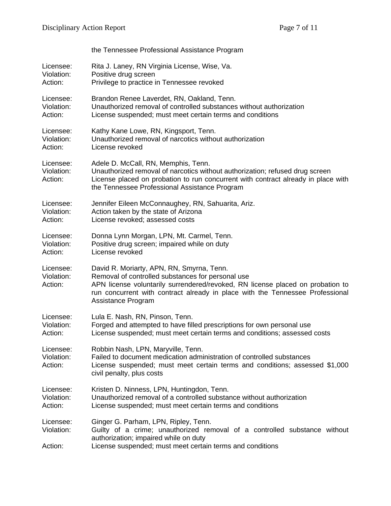|                                    | the Tennessee Professional Assistance Program                                                                                                                                                                                                                                           |  |  |
|------------------------------------|-----------------------------------------------------------------------------------------------------------------------------------------------------------------------------------------------------------------------------------------------------------------------------------------|--|--|
| Licensee:                          | Rita J. Laney, RN Virginia License, Wise, Va.                                                                                                                                                                                                                                           |  |  |
| Violation:                         | Positive drug screen                                                                                                                                                                                                                                                                    |  |  |
| Action:                            | Privilege to practice in Tennessee revoked                                                                                                                                                                                                                                              |  |  |
| Licensee:                          | Brandon Renee Laverdet, RN, Oakland, Tenn.                                                                                                                                                                                                                                              |  |  |
| Violation:                         | Unauthorized removal of controlled substances without authorization                                                                                                                                                                                                                     |  |  |
| Action:                            | License suspended; must meet certain terms and conditions                                                                                                                                                                                                                               |  |  |
| Licensee:                          | Kathy Kane Lowe, RN, Kingsport, Tenn.                                                                                                                                                                                                                                                   |  |  |
| Violation:                         | Unauthorized removal of narcotics without authorization                                                                                                                                                                                                                                 |  |  |
| Action:                            | License revoked                                                                                                                                                                                                                                                                         |  |  |
| Licensee:<br>Violation:<br>Action: | Adele D. McCall, RN, Memphis, Tenn.<br>Unauthorized removal of narcotics without authorization; refused drug screen<br>License placed on probation to run concurrent with contract already in place with<br>the Tennessee Professional Assistance Program                               |  |  |
| Licensee:                          | Jennifer Eileen McConnaughey, RN, Sahuarita, Ariz.                                                                                                                                                                                                                                      |  |  |
| Violation:                         | Action taken by the state of Arizona                                                                                                                                                                                                                                                    |  |  |
| Action:                            | License revoked; assessed costs                                                                                                                                                                                                                                                         |  |  |
| Licensee:                          | Donna Lynn Morgan, LPN, Mt. Carmel, Tenn.                                                                                                                                                                                                                                               |  |  |
| Violation:                         | Positive drug screen; impaired while on duty                                                                                                                                                                                                                                            |  |  |
| Action:                            | License revoked                                                                                                                                                                                                                                                                         |  |  |
| Licensee:<br>Violation:<br>Action: | David R. Moriarty, APN, RN, Smyrna, Tenn.<br>Removal of controlled substances for personal use<br>APN license voluntarily surrendered/revoked, RN license placed on probation to<br>run concurrent with contract already in place with the Tennessee Professional<br>Assistance Program |  |  |
| Licensee:                          | Lula E. Nash, RN, Pinson, Tenn.                                                                                                                                                                                                                                                         |  |  |
| Violation:                         | Forged and attempted to have filled prescriptions for own personal use                                                                                                                                                                                                                  |  |  |
| Action:                            | License suspended; must meet certain terms and conditions; assessed costs                                                                                                                                                                                                               |  |  |
| Licensee:<br>Violation:<br>Action: | Robbin Nash, LPN, Maryville, Tenn.<br>Failed to document medication administration of controlled substances<br>License suspended; must meet certain terms and conditions; assessed \$1,000<br>civil penalty, plus costs                                                                 |  |  |
| Licensee:                          | Kristen D. Ninness, LPN, Huntingdon, Tenn.                                                                                                                                                                                                                                              |  |  |
| Violation:                         | Unauthorized removal of a controlled substance without authorization                                                                                                                                                                                                                    |  |  |
| Action:                            | License suspended; must meet certain terms and conditions                                                                                                                                                                                                                               |  |  |
| Licensee:<br>Violation:<br>Action: | Ginger G. Parham, LPN, Ripley, Tenn.<br>Guilty of a crime; unauthorized removal of a controlled substance without<br>authorization; impaired while on duty<br>License suspended; must meet certain terms and conditions                                                                 |  |  |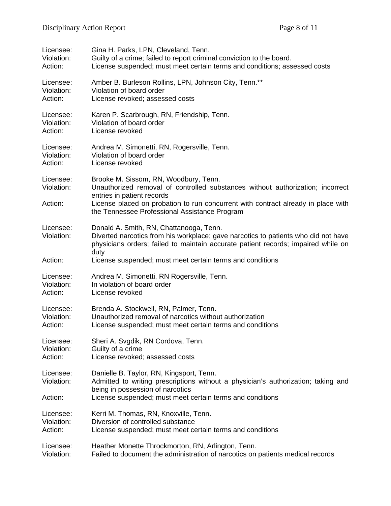| Licensee:                          | Gina H. Parks, LPN, Cleveland, Tenn.                                                                                                                                                                                                                                                        |  |
|------------------------------------|---------------------------------------------------------------------------------------------------------------------------------------------------------------------------------------------------------------------------------------------------------------------------------------------|--|
| Violation:                         | Guilty of a crime; failed to report criminal conviction to the board.                                                                                                                                                                                                                       |  |
| Action:                            | License suspended; must meet certain terms and conditions; assessed costs                                                                                                                                                                                                                   |  |
| Licensee:                          | Amber B. Burleson Rollins, LPN, Johnson City, Tenn.**                                                                                                                                                                                                                                       |  |
| Violation:                         | Violation of board order                                                                                                                                                                                                                                                                    |  |
| Action:                            | License revoked; assessed costs                                                                                                                                                                                                                                                             |  |
| Licensee:                          | Karen P. Scarbrough, RN, Friendship, Tenn.                                                                                                                                                                                                                                                  |  |
| Violation:                         | Violation of board order                                                                                                                                                                                                                                                                    |  |
| Action:                            | License revoked                                                                                                                                                                                                                                                                             |  |
| Licensee:                          | Andrea M. Simonetti, RN, Rogersville, Tenn.                                                                                                                                                                                                                                                 |  |
| Violation:                         | Violation of board order                                                                                                                                                                                                                                                                    |  |
| Action:                            | License revoked                                                                                                                                                                                                                                                                             |  |
| Licensee:<br>Violation:<br>Action: | Brooke M. Sissom, RN, Woodbury, Tenn.<br>Unauthorized removal of controlled substances without authorization; incorrect<br>entries in patient records<br>License placed on probation to run concurrent with contract already in place with<br>the Tennessee Professional Assistance Program |  |
| Licensee:<br>Violation:            | Donald A. Smith, RN, Chattanooga, Tenn.<br>Diverted narcotics from his workplace; gave narcotics to patients who did not have<br>physicians orders; failed to maintain accurate patient records; impaired while on<br>duty                                                                  |  |
| Action:                            | License suspended; must meet certain terms and conditions                                                                                                                                                                                                                                   |  |
| Licensee:                          | Andrea M. Simonetti, RN Rogersville, Tenn.                                                                                                                                                                                                                                                  |  |
| Violation:                         | In violation of board order                                                                                                                                                                                                                                                                 |  |
| Action:                            | License revoked                                                                                                                                                                                                                                                                             |  |
| Licensee:                          | Brenda A. Stockwell, RN, Palmer, Tenn.                                                                                                                                                                                                                                                      |  |
| Violation:                         | Unauthorized removal of narcotics without authorization                                                                                                                                                                                                                                     |  |
| Action:                            | License suspended; must meet certain terms and conditions                                                                                                                                                                                                                                   |  |
| Licensee:                          | Sheri A. Svgdik, RN Cordova, Tenn.                                                                                                                                                                                                                                                          |  |
| Violation:                         | Guilty of a crime                                                                                                                                                                                                                                                                           |  |
| Action:                            | License revoked; assessed costs                                                                                                                                                                                                                                                             |  |
| Licensee:<br>Violation:<br>Action: | Danielle B. Taylor, RN, Kingsport, Tenn.<br>Admitted to writing prescriptions without a physician's authorization; taking and<br>being in possession of narcotics<br>License suspended; must meet certain terms and conditions                                                              |  |
| Licensee:                          | Kerri M. Thomas, RN, Knoxville, Tenn.                                                                                                                                                                                                                                                       |  |
| Violation:                         | Diversion of controlled substance                                                                                                                                                                                                                                                           |  |
| Action:                            | License suspended; must meet certain terms and conditions                                                                                                                                                                                                                                   |  |
| Licensee:                          | Heather Monette Throckmorton, RN, Arlington, Tenn.                                                                                                                                                                                                                                          |  |
| Violation:                         | Failed to document the administration of narcotics on patients medical records                                                                                                                                                                                                              |  |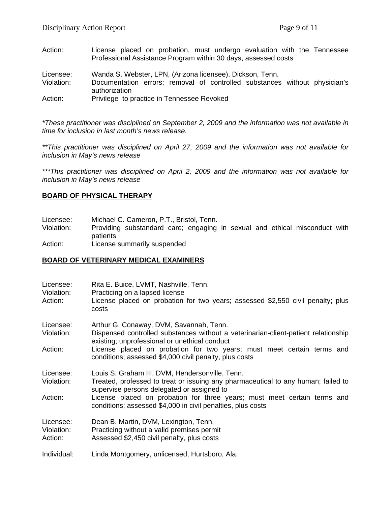- Action: License placed on probation, must undergo evaluation with the Tennessee Professional Assistance Program within 30 days, assessed costs
- Licensee: Wanda S. Webster, LPN, (Arizona licensee), Dickson, Tenn.
- Violation: Documentation errors; removal of controlled substances without physician's authorization
- Action: Privilege to practice in Tennessee Revoked

*\*These practitioner was disciplined on September 2, 2009 and the information was not available in time for inclusion in last month's news release.* 

*\*\*This practitioner was disciplined on April 27, 2009 and the information was not available for inclusion in May's news release*

*\*\*\*This practitioner was disciplined on April 2, 2009 and the information was not available for inclusion in May's news release*

#### **BOARD OF PHYSICAL THERAPY**

| Licensee: |  | Michael C. Cameron, P.T., Bristol, Tenn. |
|-----------|--|------------------------------------------|
|-----------|--|------------------------------------------|

Violation: Providing substandard care; engaging in sexual and ethical misconduct with patients

Action: License summarily suspended

#### **BOARD OF VETERINARY MEDICAL EXAMINERS**

| Licensee:<br>Violation:<br>Action: | Rita E. Buice, LVMT, Nashville, Tenn.<br>Practicing on a lapsed license<br>License placed on probation for two years; assessed \$2,550 civil penalty; plus<br>costs                |  |
|------------------------------------|------------------------------------------------------------------------------------------------------------------------------------------------------------------------------------|--|
| Licensee:<br>Violation:            | Arthur G. Conaway, DVM, Savannah, Tenn.<br>Dispensed controlled substances without a veterinarian-client-patient relationship<br>existing; unprofessional or unethical conduct     |  |
| Action:                            | License placed on probation for two years; must meet certain terms and<br>conditions; assessed \$4,000 civil penalty, plus costs                                                   |  |
| Licensee:<br>Violation:            | Louis S. Graham III, DVM, Hendersonville, Tenn.<br>Treated, professed to treat or issuing any pharmaceutical to any human; failed to<br>supervise persons delegated or assigned to |  |
| Action:                            | License placed on probation for three years; must meet certain terms and<br>conditions; assessed \$4,000 in civil penalties, plus costs                                            |  |
| Licensee:<br>Violation:<br>Action: | Dean B. Martin, DVM, Lexington, Tenn.<br>Practicing without a valid premises permit<br>Assessed \$2,450 civil penalty, plus costs                                                  |  |
| Individual:                        | Linda Montgomery, unlicensed, Hurtsboro, Ala.                                                                                                                                      |  |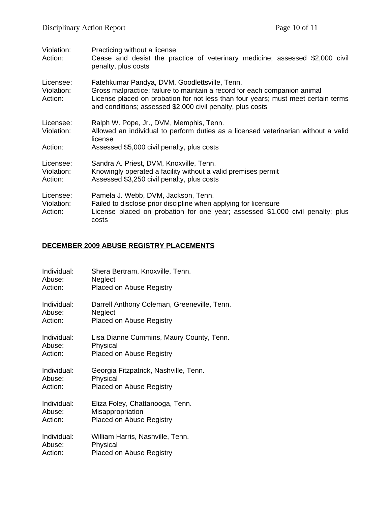| Violation:<br>Action:              | Practicing without a license<br>Cease and desist the practice of veterinary medicine; assessed \$2,000 civil<br>penalty, plus costs                                                                                                                                           |
|------------------------------------|-------------------------------------------------------------------------------------------------------------------------------------------------------------------------------------------------------------------------------------------------------------------------------|
| Licensee:<br>Violation:<br>Action: | Fatehkumar Pandya, DVM, Goodlettsville, Tenn.<br>Gross malpractice; failure to maintain a record for each companion animal<br>License placed on probation for not less than four years; must meet certain terms<br>and conditions; assessed \$2,000 civil penalty, plus costs |
| Licensee:<br>Violation:<br>Action: | Ralph W. Pope, Jr., DVM, Memphis, Tenn.<br>Allowed an individual to perform duties as a licensed veterinarian without a valid<br>license<br>Assessed \$5,000 civil penalty, plus costs                                                                                        |
| Licensee:<br>Violation:<br>Action: | Sandra A. Priest, DVM, Knoxville, Tenn.<br>Knowingly operated a facility without a valid premises permit<br>Assessed \$3,250 civil penalty, plus costs                                                                                                                        |
| Licensee:<br>Violation:<br>Action: | Pamela J. Webb, DVM, Jackson, Tenn.<br>Failed to disclose prior discipline when applying for licensure<br>License placed on probation for one year; assessed \$1,000 civil penalty; plus<br>costs                                                                             |

## **DECEMBER 2009 ABUSE REGISTRY PLACEMENTS**

| Individual: | Shera Bertram, Knoxville, Tenn.             |
|-------------|---------------------------------------------|
| Abuse:      | Neglect                                     |
| Action:     | <b>Placed on Abuse Registry</b>             |
| Individual: | Darrell Anthony Coleman, Greeneville, Tenn. |
| Abuse:      | Neglect                                     |
| Action:     | <b>Placed on Abuse Registry</b>             |
| Individual: | Lisa Dianne Cummins, Maury County, Tenn.    |
| Abuse:      | Physical                                    |
| Action:     | <b>Placed on Abuse Registry</b>             |
| Individual: | Georgia Fitzpatrick, Nashville, Tenn.       |
| Abuse:      | Physical                                    |
| Action:     | <b>Placed on Abuse Registry</b>             |
| Individual: | Eliza Foley, Chattanooga, Tenn.             |
| Abuse:      | Misappropriation                            |
| Action:     | <b>Placed on Abuse Registry</b>             |
| Individual: | William Harris, Nashville, Tenn.            |
| Abuse:      | Physical                                    |
| Action:     | <b>Placed on Abuse Registry</b>             |